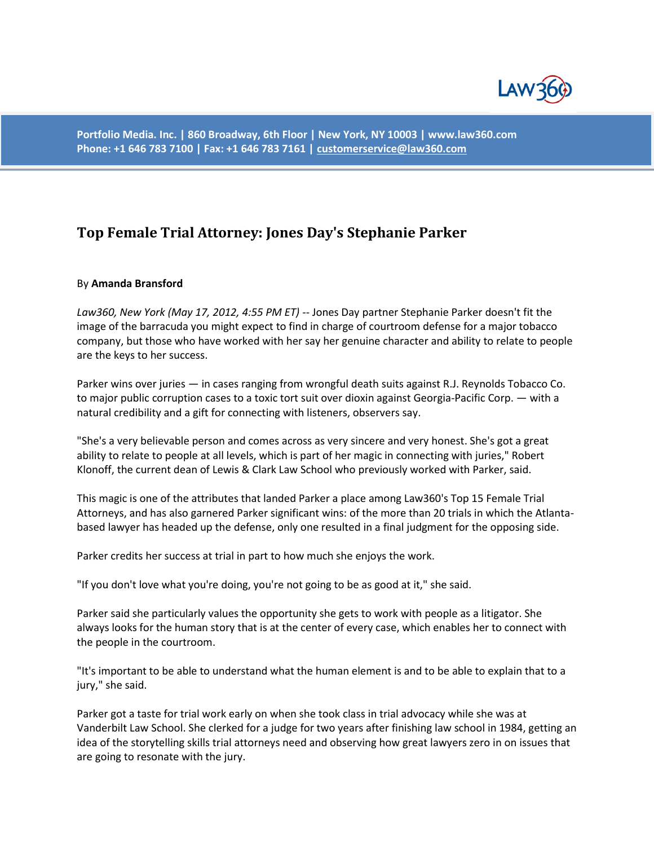

**Portfolio Media. Inc. | 860 Broadway, 6th Floor | New York, NY 10003 | www.law360.com Phone: +1 646 783 7100 | Fax: +1 646 783 7161 [| customerservice@law360.com](mailto:customerservice@law360.com)**

## **Top Female Trial Attorney: Jones Day's Stephanie Parker**

## By **Amanda Bransford**

*Law360, New York (May 17, 2012, 4:55 PM ET)* -- Jones Day partner Stephanie Parker doesn't fit the image of the barracuda you might expect to find in charge of courtroom defense for a major tobacco company, but those who have worked with her say her genuine character and ability to relate to people are the keys to her success.

Parker wins over juries — in cases ranging from wrongful death suits against R.J. Reynolds Tobacco Co. to major public corruption cases to a toxic tort suit over dioxin against Georgia-Pacific Corp. — with a natural credibility and a gift for connecting with listeners, observers say.

"She's a very believable person and comes across as very sincere and very honest. She's got a great ability to relate to people at all levels, which is part of her magic in connecting with juries," Robert Klonoff, the current dean of Lewis & Clark Law School who previously worked with Parker, said.

This magic is one of the attributes that landed Parker a place among Law360's Top 15 Female Trial Attorneys, and has also garnered Parker significant wins: of the more than 20 trials in which the Atlantabased lawyer has headed up the defense, only one resulted in a final judgment for the opposing side.

Parker credits her success at trial in part to how much she enjoys the work.

"If you don't love what you're doing, you're not going to be as good at it," she said.

Parker said she particularly values the opportunity she gets to work with people as a litigator. She always looks for the human story that is at the center of every case, which enables her to connect with the people in the courtroom.

"It's important to be able to understand what the human element is and to be able to explain that to a jury," she said.

Parker got a taste for trial work early on when she took class in trial advocacy while she was at Vanderbilt Law School. She clerked for a judge for two years after finishing law school in 1984, getting an idea of the storytelling skills trial attorneys need and observing how great lawyers zero in on issues that are going to resonate with the jury.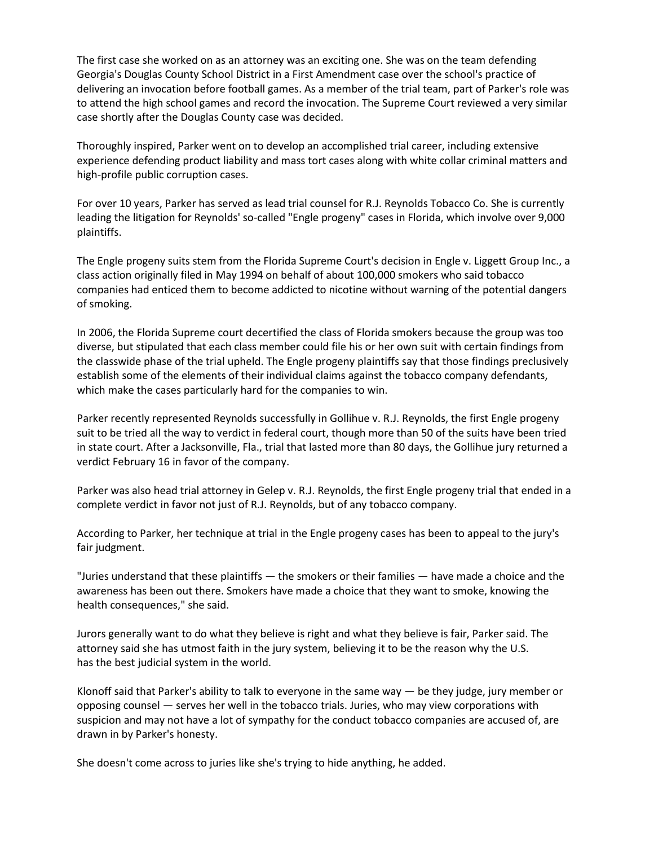The first case she worked on as an attorney was an exciting one. She was on the team defending Georgia's Douglas County School District in a First Amendment case over the school's practice of delivering an invocation before football games. As a member of the trial team, part of Parker's role was to attend the high school games and record the invocation. The Supreme Court reviewed a very similar case shortly after the Douglas County case was decided.

Thoroughly inspired, Parker went on to develop an accomplished trial career, including extensive experience defending product liability and mass tort cases along with white collar criminal matters and high-profile public corruption cases.

For over 10 years, Parker has served as lead trial counsel for R.J. Reynolds Tobacco Co. She is currently leading the litigation for Reynolds' so-called "Engle progeny" cases in Florida, which involve over 9,000 plaintiffs.

The Engle progeny suits stem from the Florida Supreme Court's decision in Engle v. Liggett Group Inc., a class action originally filed in May 1994 on behalf of about 100,000 smokers who said tobacco companies had enticed them to become addicted to nicotine without warning of the potential dangers of smoking.

In 2006, the Florida Supreme court decertified the class of Florida smokers because the group was too diverse, but stipulated that each class member could file his or her own suit with certain findings from the classwide phase of the trial upheld. The Engle progeny plaintiffs say that those findings preclusively establish some of the elements of their individual claims against the tobacco company defendants, which make the cases particularly hard for the companies to win.

Parker recently represented Reynolds successfully in Gollihue v. R.J. Reynolds, the first Engle progeny suit to be tried all the way to verdict in federal court, though more than 50 of the suits have been tried in state court. After a Jacksonville, Fla., trial that lasted more than 80 days, the Gollihue jury returned a verdict February 16 in favor of the company.

Parker was also head trial attorney in Gelep v. R.J. Reynolds, the first Engle progeny trial that ended in a complete verdict in favor not just of R.J. Reynolds, but of any tobacco company.

According to Parker, her technique at trial in the Engle progeny cases has been to appeal to the jury's fair judgment.

"Juries understand that these plaintiffs — the smokers or their families — have made a choice and the awareness has been out there. Smokers have made a choice that they want to smoke, knowing the health consequences," she said.

Jurors generally want to do what they believe is right and what they believe is fair, Parker said. The attorney said she has utmost faith in the jury system, believing it to be the reason why the U.S. has the best judicial system in the world.

Klonoff said that Parker's ability to talk to everyone in the same way — be they judge, jury member or opposing counsel — serves her well in the tobacco trials. Juries, who may view corporations with suspicion and may not have a lot of sympathy for the conduct tobacco companies are accused of, are drawn in by Parker's honesty.

She doesn't come across to juries like she's trying to hide anything, he added.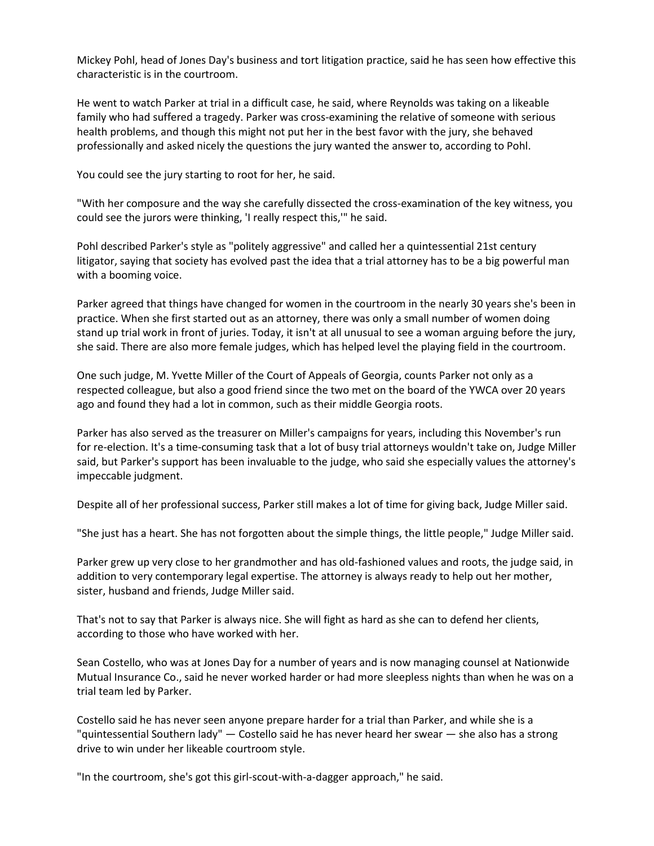Mickey Pohl, head of Jones Day's business and tort litigation practice, said he has seen how effective this characteristic is in the courtroom.

He went to watch Parker at trial in a difficult case, he said, where Reynolds was taking on a likeable family who had suffered a tragedy. Parker was cross-examining the relative of someone with serious health problems, and though this might not put her in the best favor with the jury, she behaved professionally and asked nicely the questions the jury wanted the answer to, according to Pohl.

You could see the jury starting to root for her, he said.

"With her composure and the way she carefully dissected the cross-examination of the key witness, you could see the jurors were thinking, 'I really respect this,'" he said.

Pohl described Parker's style as "politely aggressive" and called her a quintessential 21st century litigator, saying that society has evolved past the idea that a trial attorney has to be a big powerful man with a booming voice.

Parker agreed that things have changed for women in the courtroom in the nearly 30 years she's been in practice. When she first started out as an attorney, there was only a small number of women doing stand up trial work in front of juries. Today, it isn't at all unusual to see a woman arguing before the jury, she said. There are also more female judges, which has helped level the playing field in the courtroom.

One such judge, M. Yvette Miller of the Court of Appeals of Georgia, counts Parker not only as a respected colleague, but also a good friend since the two met on the board of the YWCA over 20 years ago and found they had a lot in common, such as their middle Georgia roots.

Parker has also served as the treasurer on Miller's campaigns for years, including this November's run for re-election. It's a time-consuming task that a lot of busy trial attorneys wouldn't take on, Judge Miller said, but Parker's support has been invaluable to the judge, who said she especially values the attorney's impeccable judgment.

Despite all of her professional success, Parker still makes a lot of time for giving back, Judge Miller said.

"She just has a heart. She has not forgotten about the simple things, the little people," Judge Miller said.

Parker grew up very close to her grandmother and has old-fashioned values and roots, the judge said, in addition to very contemporary legal expertise. The attorney is always ready to help out her mother, sister, husband and friends, Judge Miller said.

That's not to say that Parker is always nice. She will fight as hard as she can to defend her clients, according to those who have worked with her.

Sean Costello, who was at Jones Day for a number of years and is now managing counsel at Nationwide Mutual Insurance Co., said he never worked harder or had more sleepless nights than when he was on a trial team led by Parker.

Costello said he has never seen anyone prepare harder for a trial than Parker, and while she is a "quintessential Southern lady" — Costello said he has never heard her swear — she also has a strong drive to win under her likeable courtroom style.

"In the courtroom, she's got this girl-scout-with-a-dagger approach," he said.